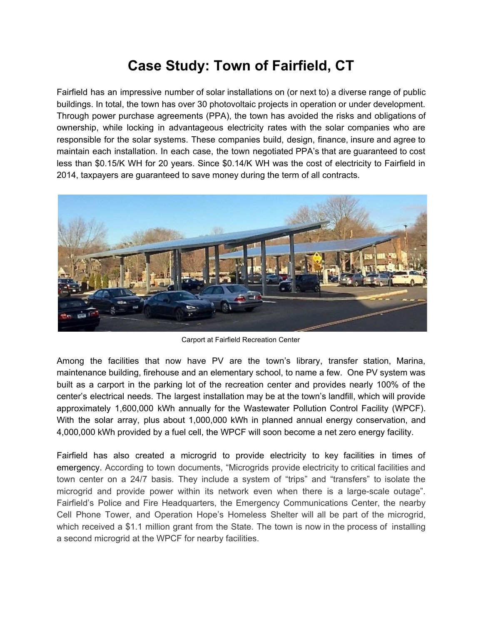## **Case Study: Town of Fairfield, CT**

Fairfield has an impressive number of solar installations on (or next to) a diverse range of public buildings. In total, the town has over 30 photovoltaic projects in operation or under development. Through power purchase agreements (PPA), the town has avoided the risks and obligations of ownership, while locking in advantageous electricity rates with the solar companies who are responsible for the solar systems. These companies build, design, finance, insure and agree to maintain each installation. In each case, the town negotiated PPA's that are guaranteed to cost less than \$0.15/K WH for 20 years. Since \$0.14/K WH was the cost of electricity to Fairfield in 2014, taxpayers are guaranteed to save money during the term of all contracts.



Carport at Fairfield Recreation Center

Among the facilities that now have PV are the town's library, transfer station, Marina, maintenance building, firehouse and an elementary school, to name a few. One PV system was built as a carport in the parking lot of the recreation center and provides nearly 100% of the center's electrical needs. The largest installation may be at the town's landfill, which will provide approximately 1,600,000 kWh annually for the Wastewater Pollution Control Facility (WPCF). With the solar array, plus about 1,000,000 kWh in planned annual energy conservation, and 4,000,000 kWh provided by a fuel cell, the WPCF will soon become a net zero energy facility.

Fairfield has also created a microgrid to provide electricity to key facilities in times of emergency. According to town documents, "Microgrids provide electricity to critical facilities and town center on a 24/7 basis. They include a system of "trips" and "transfers" to isolate the microgrid and provide power within its network even when there is a large-scale outage". Fairfield's Police and Fire Headquarters, the Emergency Communications Center, the nearby Cell Phone Tower, and Operation Hope's Homeless Shelter will all be part of the microgrid, which received a \$1.1 million grant from the State. The town is now in the process of installing a second microgrid at the WPCF for nearby facilities.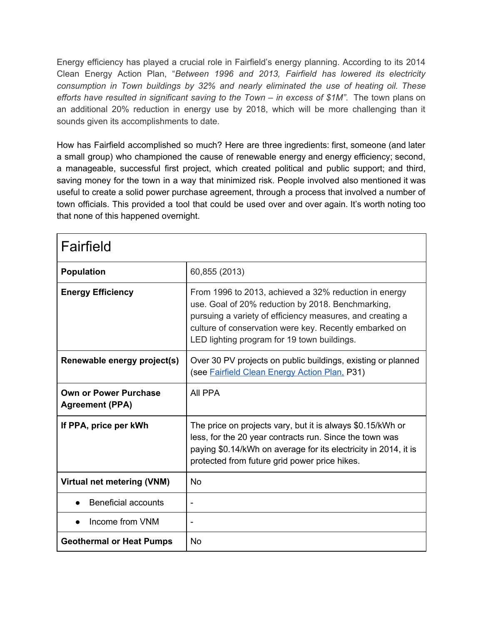Energy efficiency has played a crucial role in Fairfield's energy planning. According to its 2014 Clean Energy Action Plan, "*Between 1996 and 2013, Fairfield has lowered its electricity consumption in Town buildings by 32% and nearly eliminated the use of heating oil. These efforts have resulted in significant saving to the Town – in excess of \$1M"*. The town plans on an additional 20% reduction in energy use by 2018, which will be more challenging than it sounds given its accomplishments to date.

How has Fairfield accomplished so much? Here are three ingredients: first, someone (and later a small group) who championed the cause of renewable energy and energy efficiency; second, a manageable, successful first project, which created political and public support; and third, saving money for the town in a way that minimized risk. People involved also mentioned it was useful to create a solid power purchase agreement, through a process that involved a number of town officials. This provided a tool that could be used over and over again. It's worth noting too that none of this happened overnight.

| Fairfield                                              |                                                                                                                                                                                                                                                                                  |
|--------------------------------------------------------|----------------------------------------------------------------------------------------------------------------------------------------------------------------------------------------------------------------------------------------------------------------------------------|
| <b>Population</b>                                      | 60,855 (2013)                                                                                                                                                                                                                                                                    |
| <b>Energy Efficiency</b>                               | From 1996 to 2013, achieved a 32% reduction in energy<br>use. Goal of 20% reduction by 2018. Benchmarking,<br>pursuing a variety of efficiency measures, and creating a<br>culture of conservation were key. Recently embarked on<br>LED lighting program for 19 town buildings. |
| Renewable energy project(s)                            | Over 30 PV projects on public buildings, existing or planned<br>(see Fairfield Clean Energy Action Plan, P31)                                                                                                                                                                    |
| <b>Own or Power Purchase</b><br><b>Agreement (PPA)</b> | All PPA                                                                                                                                                                                                                                                                          |
| If PPA, price per kWh                                  | The price on projects vary, but it is always \$0.15/kWh or<br>less, for the 20 year contracts run. Since the town was<br>paying \$0.14/kWh on average for its electricity in 2014, it is<br>protected from future grid power price hikes.                                        |
| Virtual net metering (VNM)                             | No                                                                                                                                                                                                                                                                               |
| <b>Beneficial accounts</b>                             | Ĭ.                                                                                                                                                                                                                                                                               |
| Income from VNM                                        |                                                                                                                                                                                                                                                                                  |
| <b>Geothermal or Heat Pumps</b>                        | No                                                                                                                                                                                                                                                                               |